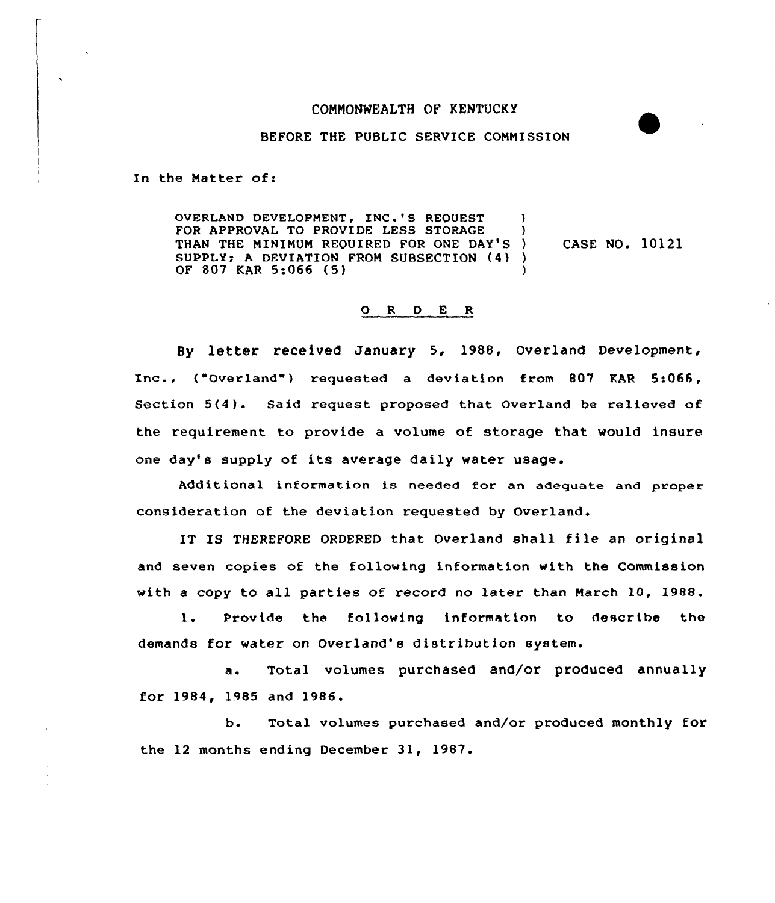## COMMONWEALTH OF KENTUCKY

## BEFORE THE PUBLIC SERVICE COMMISSION

In the Natter of:

OVERLAND DEVELOPMENT, INC.'S REQUEST ) FOR APPROVAL TO PROVIDE LESS STORAGE THAN THE MINIMUM REQUIRED FOR ONE DAY'S ) SUPPLY; <sup>A</sup> DEVIATION FROM SUBSECTION (4) ) OF 807 KAR 5:066 (5) CASE NO. 10121

## 0 <sup>R</sup> <sup>D</sup> E <sup>R</sup>

By letter received January 5, 1988, Overland Development, Inc., ("Overland") requested a deviation from 807 KAR 5:066, Section 5(4). Said request proposed that Overland be relieved of the requirement to provide a volume of storage that would insure one day's supply of its average daily water usage.

Additional information is needed fox an adequate and pxopex consideration of the deviation requested by Overland.

IT IS THEREFORE ORDERED that Overland shall file an original and seven copies of the following information with the Commission with a copy to all parties of record no later than March 10, 1988.

1. Provide the following information to describe the demands for water on Overland's distribution system.

a. Total volumes purchased and/or produced annually for 1984, 1985 and 1986.

b. Total volumes purchased and/or produced monthly for the 12 months ending December 31, 1987.

and the company of the com-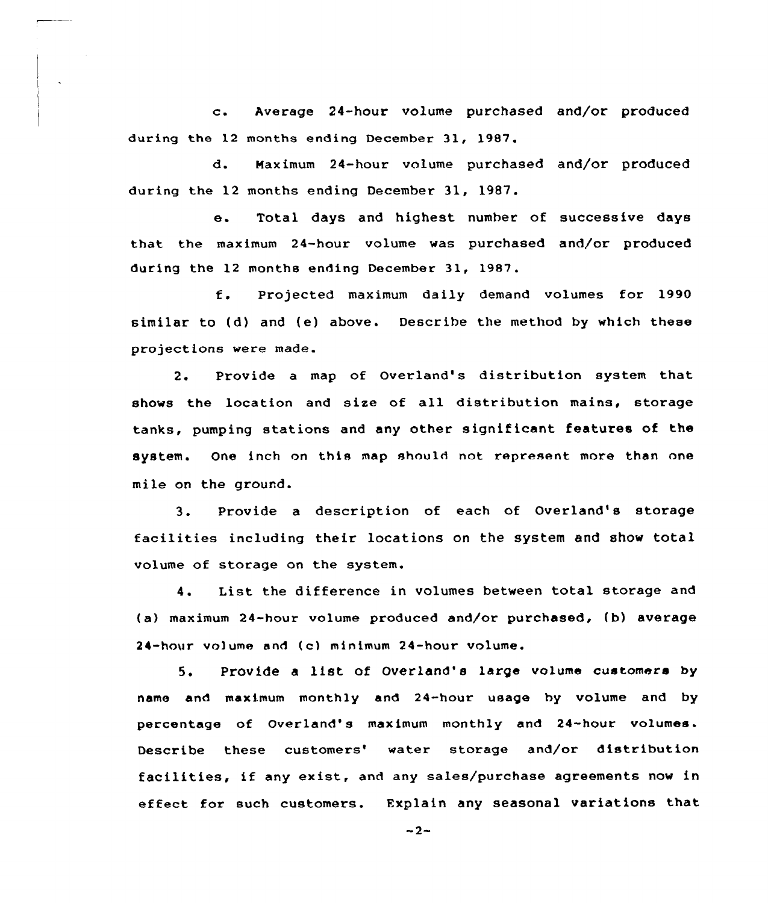c. Average 24-hour volume purchased and/or produced during the 12 months ending December 31, 1987.

d. Maximum 24-hour volume purchased and/or produced dur ing the 12 months ending December 31, 1987.

e. Total days and highest number of successive days that the maximum 24-hour volume was purchased and/or produced during the 12 months ending December 31, 1987.

f. Prcjected maximum daily demand volumes for <sup>1990</sup> similar to (d) and (e) above. Describe the method by which these projections were made.

2. Provide a map of Overland's distribution system that shows the location and size of all distribution mains, storage tanks, pumping stations and any other significant features of the system. One inch on this map should not represent more than one mile on the ground.

3. Provide a description of each of Overland's storage facilities including their locations on the system and show total volume of storage on the system.

4. List the difference in volumes between total storage and (a) maximum 24-hour volume produced and/or purchased, (b) average 24-hour volume and (c) minimum 24-hour volume.

5. Provide a list of Overland's large volume customers by name and maximum monthly and 24-hour usage hy volume and by percentage of Overland's maximum monthly and 24-hour volumes. Describe these customers' water storage and/or distribution facilities, if any exist, and any sales/purchase agreements now in effect for such customers. Explain any seasonal variations that

 $-2-$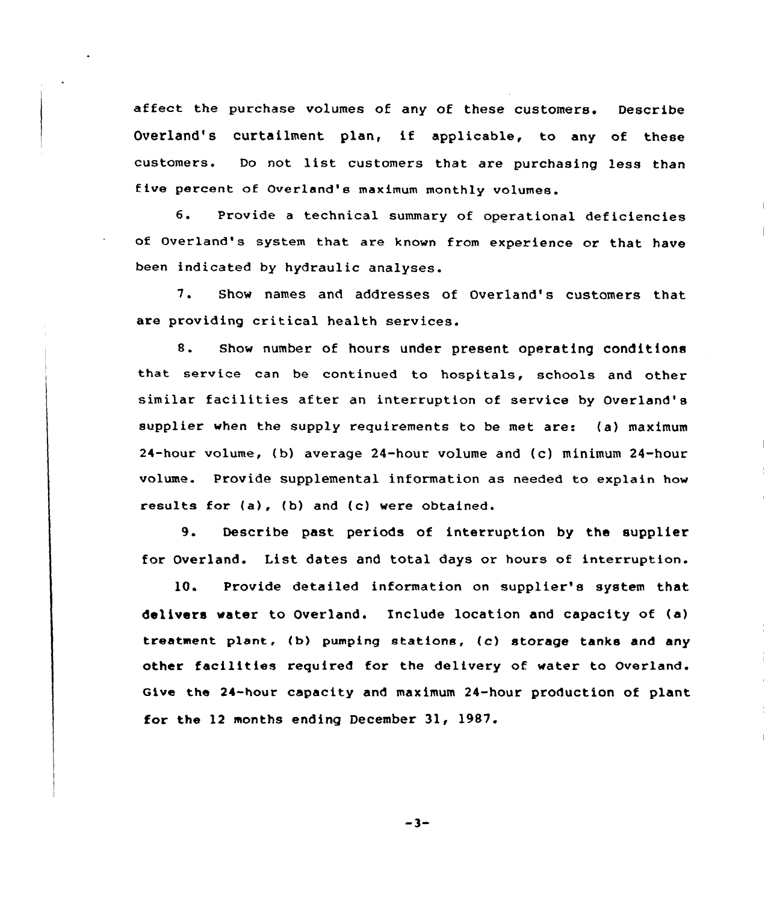affect the purchase volumes of any of these customers. Describe Overland's curtailment plan, if applicable, to any of these customers. Do not list customers that are purchasing less than five percent of Overland's maximum monthly volumes.

6. Provide a technical summary of operational deficiencies of Overland's system that are known from experience or that have been indicated by hydraulic analyses.

7. Show names and addresses of Overland's customers that are providing critical health services.

8. Show number of hours under present operating conditions that service can be continued to hospitals, schools and other similar facilities after an interruption of service by Overland' supplier when the supply requirements to be met are: (a) maximum 24-hour volume, ( b) average 24-hour volume and (c) minimum 24-hour volume. Provide supplemental information as needed to explain how results for (a), (b) and (c) were obtained.

9. Describe past periods of interruption by the supplier for Overland. List dates and total days or hours of interruption.

10. Provide detailed information on supplier's system that delivers water to Overland. Include location and capacity of (a) treatment plant, (b) pumping stations, (c) storage tanks and any other facilities required for the delivery of. water to Overland. Give the 24-hour capacity and maximum 24-hour production of plant for the 12 months ending December 31, 19S7.

 $-3-$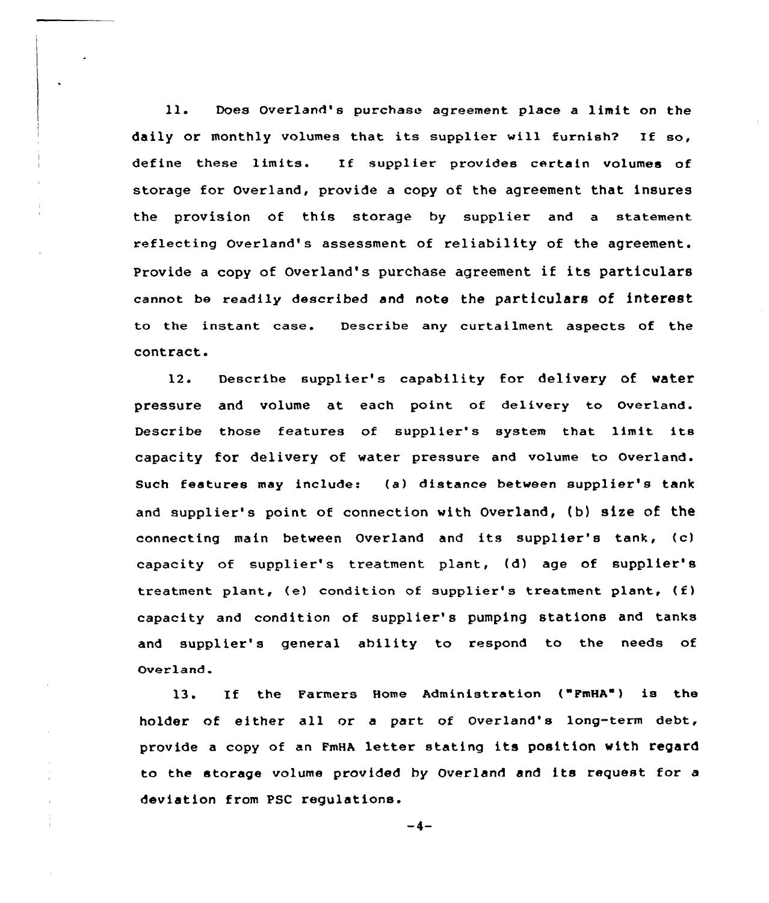ll. Does Overland's purchase agreement place <sup>a</sup> limit on the daily or monthly volumes that its supplier will furnish? If so, define these limits. If supplier provides certain volumes of storage for Overland, provide a copy of the agreement that insures the provision of this storage by supplier and a statement reflecting Overland's assessment of reliability of the agreement. Provide <sup>a</sup> copy of Overland's purchase agreement if its particulars cannot be readily described and note the particulars of interest to the instant case. Describe any curtailment aspects of the contract.

12. Describe supplier's capability for delivery of water pressure and volume at each point of delivery to overland. Describe those features of supplier's system that limit its capacity for delivery of water pressure and volume to Overland. Such features may include: (a) distance between supplier's tank and supplier's point of connection with Overland, (b) size of the connecting main between Overland and its supplier's tank, (c) capacity of supplier's treatment plant, (d) age of supplier's treatment plant, (e) condition of supplier's treatment plant, (f) capacity and condition of supplier's pumping stations and tanks and supplier's general ability to respond to the needs of Overland.

13. If the Farmers Home Administration ("PmHA") is the holder of either all or a part of Overland's long-term debt, provide <sup>a</sup> copy of an FmHA letter stating its position with regard to the storage volume provided by Overland and its request for <sup>a</sup> deviation from PSC regulations.

 $-4-$